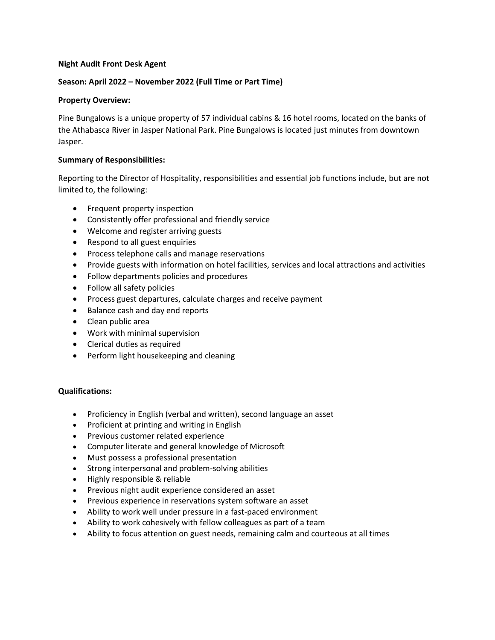## **Night Audit Front Desk Agent**

## **Season: April 2022 – November 2022 (Full Time or Part Time)**

## **Property Overview:**

Pine Bungalows is a unique property of 57 individual cabins & 16 hotel rooms, located on the banks of the Athabasca River in Jasper National Park. Pine Bungalows is located just minutes from downtown Jasper.

## **Summary of Responsibilities:**

Reporting to the Director of Hospitality, responsibilities and essential job functions include, but are not limited to, the following:

- Frequent property inspection
- Consistently offer professional and friendly service
- Welcome and register arriving guests
- Respond to all guest enquiries
- Process telephone calls and manage reservations
- Provide guests with information on hotel facilities, services and local attractions and activities
- Follow departments policies and procedures
- Follow all safety policies
- Process guest departures, calculate charges and receive payment
- Balance cash and day end reports
- Clean public area
- Work with minimal supervision
- Clerical duties as required
- Perform light housekeeping and cleaning

# **Qualifications:**

- Proficiency in English (verbal and written), second language an asset
- Proficient at printing and writing in English
- Previous customer related experience
- Computer literate and general knowledge of Microsoft
- Must possess a professional presentation
- Strong interpersonal and problem-solving abilities
- Highly responsible & reliable
- Previous night audit experience considered an asset
- Previous experience in reservations system software an asset
- Ability to work well under pressure in a fast-paced environment
- Ability to work cohesively with fellow colleagues as part of a team
- Ability to focus attention on guest needs, remaining calm and courteous at all times